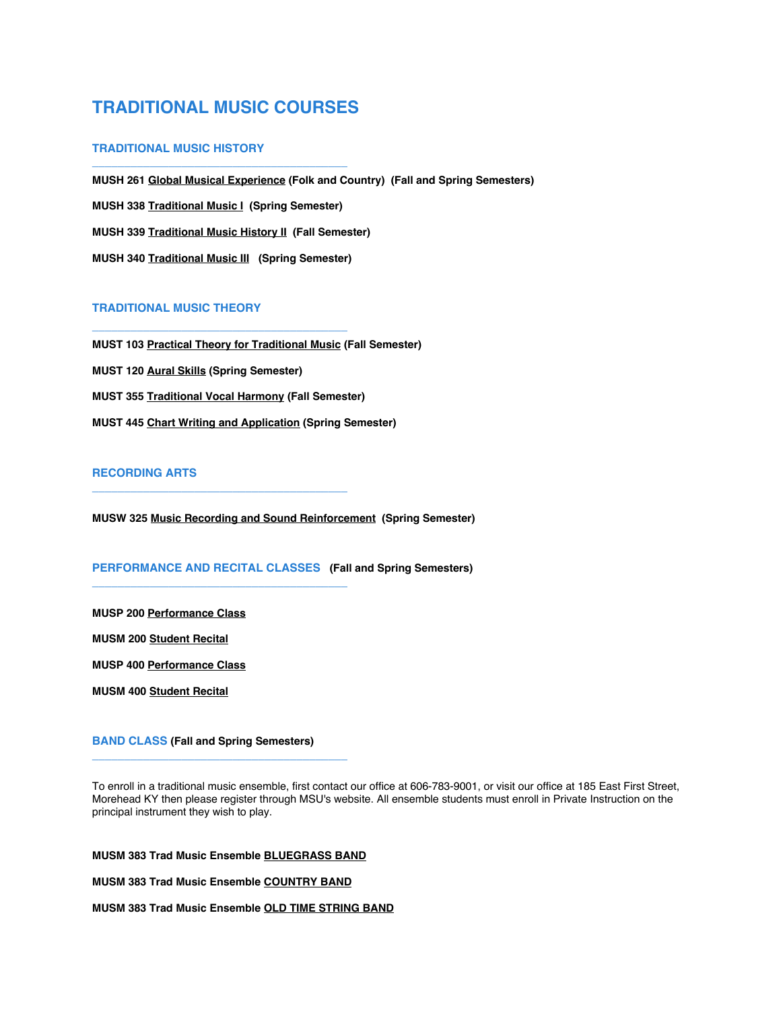# **TRADITIONAL MUSIC COURSES**

**\_\_\_\_\_\_\_\_\_\_\_\_\_\_\_\_\_\_\_\_\_\_\_\_\_\_\_\_\_\_\_\_\_\_\_\_\_\_\_\_** 

**\_\_\_\_\_\_\_\_\_\_\_\_\_\_\_\_\_\_\_\_\_\_\_\_\_\_\_\_\_\_\_\_\_\_\_\_\_\_\_\_** 

**\_\_\_\_\_\_\_\_\_\_\_\_\_\_\_\_\_\_\_\_\_\_\_\_\_\_\_\_\_\_\_\_\_\_\_\_\_\_\_\_** 

**\_\_\_\_\_\_\_\_\_\_\_\_\_\_\_\_\_\_\_\_\_\_\_\_\_\_\_\_\_\_\_\_\_\_\_\_\_\_\_\_** 

### **TRADITIONAL MUSIC HISTORY**

**MUSH 261 Global Musical Experience (Folk and Country) (Fall and Spring Semesters) MUSH 338 Traditional Music I (Spring Semester) MUSH 339 Traditional Music History II (Fall Semester) MUSH 340 Traditional Music III (Spring Semester)**

#### **TRADITIONAL MUSIC THEORY**

**MUST 103 Practical Theory for Traditional Music (Fall Semester) MUST 120 Aural Skills (Spring Semester) MUST 355 Traditional Vocal Harmony (Fall Semester) MUST 445 Chart Writing and Application (Spring Semester)**

## **RECORDING ARTS**

**MUSW 325 Music Recording and Sound Reinforcement (Spring Semester)**

## **PERFORMANCE AND RECITAL CLASSES (Fall and Spring Semesters)**

**MUSP 200 Performance Class**

**MUSM 200 Student Recital**

**MUSP 400 Performance Class**

**MUSM 400 Student Recital**

**BAND CLASS (Fall and Spring Semesters)**

**\_\_\_\_\_\_\_\_\_\_\_\_\_\_\_\_\_\_\_\_\_\_\_\_\_\_\_\_\_\_\_\_\_\_\_\_\_\_\_\_** 

To enroll in a traditional music ensemble, first contact our office at 606-783-9001, or visit our office at 185 East First Street, Morehead KY then please register through MSU's website. All ensemble students must enroll in Private Instruction on the principal instrument they wish to play.

**MUSM 383 Trad Music Ensemble BLUEGRASS BAND**

**MUSM 383 Trad Music Ensemble COUNTRY BAND**

**MUSM 383 Trad Music Ensemble OLD TIME STRING BAND**